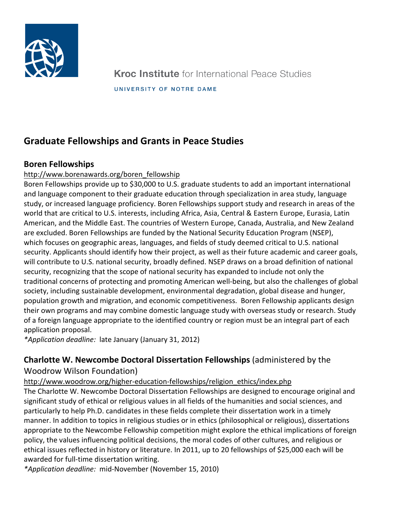

# **Graduate Fellowships and Grants in Peace Studies**

# **Boren Fellowships**

### http://www.borenawards.org/boren\_fellowship

Boren Fellowships provide up to \$30,000 to U.S. graduate students to add an important international and language component to their graduate education through specialization in area study, language study, or increased language proficiency. Boren Fellowships support study and research in areas of the world that are critical to U.S. interests, including Africa, Asia, Central & Eastern Europe, Eurasia, Latin American, and the Middle East. The countries of Western Europe, Canada, Australia, and New Zealand are excluded. Boren Fellowships are funded by the National Security Education Program (NSEP), which focuses on geographic areas, languages, and fields of study deemed critical to U.S. national security. Applicants should identify how their project, as well as their future academic and career goals, will contribute to U.S. national security, broadly defined. NSEP draws on a broad definition of national security, recognizing that the scope of national security has expanded to include not only the traditional concerns of protecting and promoting American well-being, but also the challenges of global society, including sustainable development, environmental degradation, global disease and hunger, population growth and migration, and economic competitiveness. Boren Fellowship applicants design their own programs and may combine domestic language study with overseas study or research. Study of a foreign language appropriate to the identified country or region must be an integral part of each application proposal.

*\*Application deadline:* late January (January 31, 2012)

# **Charlotte W. Newcombe Doctoral Dissertation Fellowships (administered by the**

### Woodrow Wilson Foundation)

http://www.woodrow.org/higher-education-fellowships/religion\_ethics/index.php

The Charlotte W. Newcombe Doctoral Dissertation Fellowships are designed to encourage original and significant study of ethical or religious values in all fields of the humanities and social sciences, and particularly to help Ph.D. candidates in these fields complete their dissertation work in a timely manner. In addition to topics in religious studies or in ethics (philosophical or religious), dissertations appropriate to the Newcombe Fellowship competition might explore the ethical implications of foreign policy, the values influencing political decisions, the moral codes of other cultures, and religious or ethical issues reflected in history or literature. In 2011, up to 20 fellowships of \$25,000 each will be awarded for full-time dissertation writing.

*\*Application deadline:* mid-November (November 15, 2010)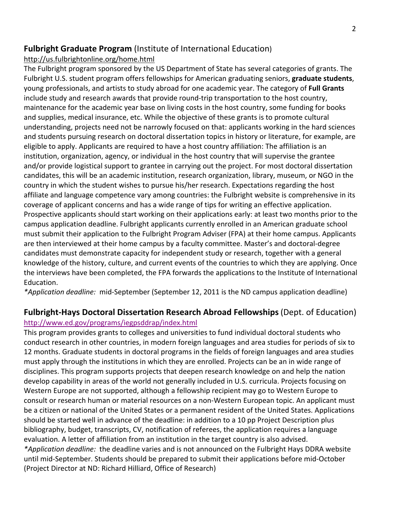## **Fulbright Graduate Program** (Institute of International Education)

http://us.fulbrightonline.org/home.html

The Fulbright program sponsored by the US Department of State has several categories of grants. The Fulbright U.S. student program offers fellowships for American graduating seniors, **graduate students**, young professionals, and artists to study abroad for one academic year. The category of **Full Grants** include study and research awards that provide round-trip transportation to the host country, maintenance for the academic year base on living costs in the host country, some funding for books and supplies, medical insurance, etc. While the objective of these grants is to promote cultural understanding, projects need not be narrowly focused on that: applicants working in the hard sciences and students pursuing research on doctoral dissertation topics in history or literature, for example, are eligible to apply. Applicants are required to have a host country affiliation: The affiliation is an institution, organization, agency, or individual in the host country that will supervise the grantee and/or provide logistical support to grantee in carrying out the project. For most doctoral dissertation candidates, this will be an academic institution, research organization, library, museum, or NGO in the country in which the student wishes to pursue his/her research. Expectations regarding the host affiliate and language competence vary among countries: the Fulbright website is comprehensive in its coverage of applicant concerns and has a wide range of tips for writing an effective application. Prospective applicants should start working on their applications early: at least two months prior to the campus application deadline. Fulbright applicants currently enrolled in an American graduate school must submit their application to the Fulbright Program Adviser (FPA) at their home campus. Applicants are then interviewed at their home campus by a faculty committee. Master's and doctoral-degree candidates must demonstrate capacity for independent study or research, together with a general knowledge of the history, culture, and current events of the countries to which they are applying. Once the interviews have been completed, the FPA forwards the applications to the Institute of International Education.

\*Application deadline: mid-September (September 12, 2011 is the ND campus application deadline)

### **Fulbright-Hays Doctoral Dissertation Research Abroad Fellowships** (Dept. of Education) http://www.ed.gov/programs/iegpsddrap/index.html

This program provides grants to colleges and universities to fund individual doctoral students who conduct research in other countries, in modern foreign languages and area studies for periods of six to 12 months. Graduate students in doctoral programs in the fields of foreign languages and area studies must apply through the institutions in which they are enrolled. Projects can be an in wide range of disciplines. This program supports projects that deepen research knowledge on and help the nation develop capability in areas of the world not generally included in U.S. curricula. Projects focusing on Western Europe are not supported, although a fellowship recipient may go to Western Europe to consult or research human or material resources on a non-Western European topic. An applicant must be a citizen or national of the United States or a permanent resident of the United States. Applications should be started well in advance of the deadline: in addition to a 10 pp Project Description plus bibliography, budget, transcripts, CV, notification of referees, the application requires a language evaluation. A letter of affiliation from an institution in the target country is also advised. \*Application deadline: the deadline varies and is not announced on the Fulbright Hays DDRA website until mid-September. Students should be prepared to submit their applications before mid-October (Project Director at ND: Richard Hilliard, Office of Research)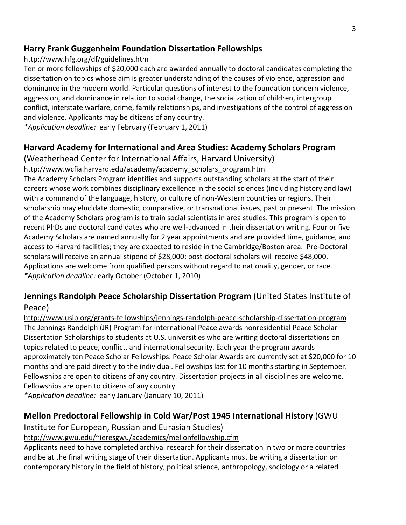## **Harry Frank Guggenheim Foundation Dissertation Fellowships**

### http://www.hfg.org/df/guidelines.htm

Ten or more fellowships of \$20,000 each are awarded annually to doctoral candidates completing the dissertation on topics whose aim is greater understanding of the causes of violence, aggression and dominance in the modern world. Particular questions of interest to the foundation concern violence, aggression, and dominance in relation to social change, the socialization of children, intergroup conflict, interstate warfare, crime, family relationships, and investigations of the control of aggression and violence. Applicants may be citizens of any country.

*\*Application deadline:* early February (February 1, 2011)

# **Harvard Academy for International and Area Studies: Academy Scholars Program**

(Weatherhead Center for International Affairs, Harvard University) http://www.wcfia.harvard.edu/academy/academy\_scholars\_program.html

The Academy Scholars Program identifies and supports outstanding scholars at the start of their careers whose work combines disciplinary excellence in the social sciences (including history and law) with a command of the language, history, or culture of non-Western countries or regions. Their scholarship may elucidate domestic, comparative, or transnational issues, past or present. The mission of the Academy Scholars program is to train social scientists in area studies. This program is open to recent PhDs and doctoral candidates who are well-advanced in their dissertation writing. Four or five Academy Scholars are named annually for 2 year appointments and are provided time, guidance, and access to Harvard facilities; they are expected to reside in the Cambridge/Boston area. Pre-Doctoral scholars will receive an annual stipend of \$28,000; post-doctoral scholars will receive \$48,000. Applications are welcome from qualified persons without regard to nationality, gender, or race. *\*Application deadline: early October (October 1, 2010)* 

# **Jennings Randolph Peace Scholarship Dissertation Program (United States Institute of** Peace)

http://www.usip.org/grants-fellowships/jennings-randolph-peace-scholarship-dissertation-program The Jennings Randolph (JR) Program for International Peace awards nonresidential Peace Scholar Dissertation Scholarships to students at U.S. universities who are writing doctoral dissertations on topics related to peace, conflict, and international security. Each year the program awards approximately ten Peace Scholar Fellowships. Peace Scholar Awards are currently set at \$20,000 for 10 months and are paid directly to the individual. Fellowships last for 10 months starting in September. Fellowships are open to citizens of any country. Dissertation projects in all disciplines are welcome. Fellowships are open to citizens of any country.

*\*Application deadline:* early January (January 10, 2011)

# **Mellon Predoctoral Fellowship in Cold War/Post 1945 International History** (GWU)

Institute for European, Russian and Eurasian Studies)

### http://www.gwu.edu/~ieresgwu/academics/mellonfellowship.cfm

Applicants need to have completed archival research for their dissertation in two or more countries and be at the final writing stage of their dissertation. Applicants must be writing a dissertation on contemporary history in the field of history, political science, anthropology, sociology or a related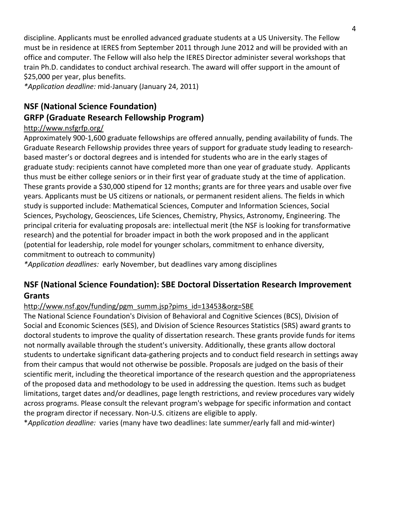discipline. Applicants must be enrolled advanced graduate students at a US University. The Fellow must be in residence at IERES from September 2011 through June 2012 and will be provided with an office and computer. The Fellow will also help the IERES Director administer several workshops that train Ph.D. candidates to conduct archival research. The award will offer support in the amount of \$25,000 per year, plus benefits.

*\*Application deadline:* mid-January (January 24, 2011)

# **NSF (National Science Foundation)**

# **GRFP (Graduate Research Fellowship Program)**

### http://www.nsfgrfp.org/

Approximately 900-1,600 graduate fellowships are offered annually, pending availability of funds. The Graduate Research Fellowship provides three years of support for graduate study leading to researchbased master's or doctoral degrees and is intended for students who are in the early stages of graduate study: recipients cannot have completed more than one year of graduate study. Applicants thus must be either college seniors or in their first year of graduate study at the time of application. These grants provide a \$30,000 stipend for 12 months; grants are for three years and usable over five years. Applicants must be US citizens or nationals, or permanent resident aliens. The fields in which study is supported include: Mathematical Sciences, Computer and Information Sciences, Social Sciences, Psychology, Geosciences, Life Sciences, Chemistry, Physics, Astronomy, Engineering. The principal criteria for evaluating proposals are: intellectual merit (the NSF is looking for transformative research) and the potential for broader impact in both the work proposed and in the applicant (potential for leadership, role model for younger scholars, commitment to enhance diversity, commitment to outreach to community)

\*Application deadlines: early November, but deadlines vary among disciplines

# **NSF (National Science Foundation): SBE Doctoral Dissertation Research Improvement Grants**

### http://www.nsf.gov/funding/pgm\_summ.jsp?pims\_id=13453&org=SBE

The National Science Foundation's Division of Behavioral and Cognitive Sciences (BCS), Division of Social and Economic Sciences (SES), and Division of Science Resources Statistics (SRS) award grants to doctoral students to improve the quality of dissertation research. These grants provide funds for items not normally available through the student's university. Additionally, these grants allow doctoral students to undertake significant data-gathering projects and to conduct field research in settings away from their campus that would not otherwise be possible. Proposals are judged on the basis of their scientific merit, including the theoretical importance of the research question and the appropriateness of the proposed data and methodology to be used in addressing the question. Items such as budget limitations, target dates and/or deadlines, page length restrictions, and review procedures vary widely across programs. Please consult the relevant program's webpage for specific information and contact the program director if necessary. Non-U.S. citizens are eligible to apply.

\**Application deadline:* varies (many have two deadlines: late summer/early fall and mid-winter)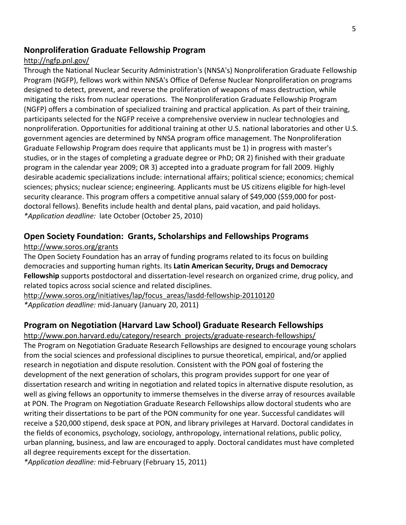### **Nonproliferation Graduate Fellowship Program**

#### http://ngfp.pnl.gov/

Through the National Nuclear Security Administration's (NNSA's) Nonproliferation Graduate Fellowship Program (NGFP), fellows work within NNSA's Office of Defense Nuclear Nonproliferation on programs designed to detect, prevent, and reverse the proliferation of weapons of mass destruction, while mitigating the risks from nuclear operations. The Nonproliferation Graduate Fellowship Program (NGFP) offers a combination of specialized training and practical application. As part of their training, participants selected for the NGFP receive a comprehensive overview in nuclear technologies and nonproliferation. Opportunities for additional training at other U.S. national laboratories and other U.S. government agencies are determined by NNSA program office management. The Nonproliferation Graduate Fellowship Program does require that applicants must be 1) in progress with master's studies, or in the stages of completing a graduate degree or PhD; OR 2) finished with their graduate program in the calendar year 2009; OR 3) accepted into a graduate program for fall 2009. Highly desirable academic specializations include: international affairs; political science; economics; chemical sciences; physics; nuclear science; engineering. Applicants must be US citizens eligible for high-level security clearance. This program offers a competitive annual salary of \$49,000 (\$59,000 for postdoctoral fellows). Benefits include health and dental plans, paid vacation, and paid holidays. *\*Application deadline:* late October (October 25, 2010)

### **Open Society Foundation: Grants, Scholarships and Fellowships Programs**

#### http://www.soros.org/grants

The Open Society Foundation has an array of funding programs related to its focus on building democracies and supporting human rights. Its Latin American Security, Drugs and Democracy **Fellowship** supports postdoctoral and dissertation-level research on organized crime, drug policy, and related topics across social science and related disciplines.

http://www.soros.org/initiatives/lap/focus\_areas/lasdd-fellowship-20110120 *\*Application deadline:* mid-January (January 20, 2011)

### **Program on Negotiation (Harvard Law School) Graduate Research Fellowships**

http://www.pon.harvard.edu/category/research\_projects/graduate-research-fellowships/ The Program on Negotiation Graduate Research Fellowships are designed to encourage young scholars from the social sciences and professional disciplines to pursue theoretical, empirical, and/or applied research in negotiation and dispute resolution. Consistent with the PON goal of fostering the development of the next generation of scholars, this program provides support for one year of dissertation research and writing in negotiation and related topics in alternative dispute resolution, as well as giving fellows an opportunity to immerse themselves in the diverse array of resources available at PON. The Program on Negotiation Graduate Research Fellowships allow doctoral students who are writing their dissertations to be part of the PON community for one year. Successful candidates will receive a \$20,000 stipend, desk space at PON, and library privileges at Harvard. Doctoral candidates in the fields of economics, psychology, sociology, anthropology, international relations, public policy, urban planning, business, and law are encouraged to apply. Doctoral candidates must have completed all degree requirements except for the dissertation.

*\*Application deadline:* mid-February (February 15, 2011)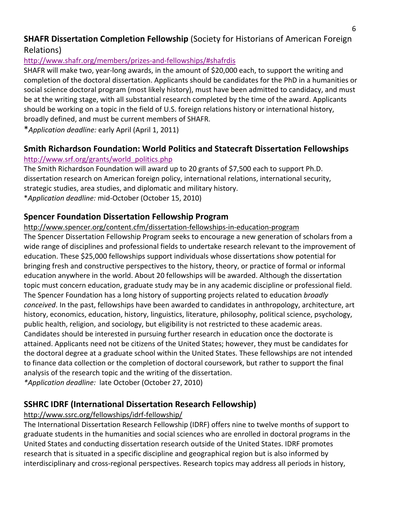### **SHAFR Dissertation Completion Fellowship (Society for Historians of American Foreign** Relations)

### http://www.shafr.org/members/prizes-and-fellowships/#shafrdis

SHAFR will make two, year-long awards, in the amount of \$20,000 each, to support the writing and completion of the doctoral dissertation. Applicants should be candidates for the PhD in a humanities or social science doctoral program (most likely history), must have been admitted to candidacy, and must be at the writing stage, with all substantial research completed by the time of the award. Applicants should be working on a topic in the field of U.S. foreign relations history or international history, broadly defined, and must be current members of SHAFR.

\**Application deadline:* early April (April 1, 2011)

# **Smith Richardson Foundation: World Politics and Statecraft Dissertation Fellowships**

### http://www.srf.org/grants/world\_politics.php

The Smith Richardson Foundation will award up to 20 grants of \$7,500 each to support Ph.D. dissertation research on American foreign policy, international relations, international security, strategic studies, area studies, and diplomatic and military history. \**Application deadline:* mid-October (October 15, 2010)

### **Spencer Foundation Dissertation Fellowship Program**

http://www.spencer.org/content.cfm/dissertation-fellowships-in-education-program The Spencer Dissertation Fellowship Program seeks to encourage a new generation of scholars from a wide range of disciplines and professional fields to undertake research relevant to the improvement of education. These \$25,000 fellowships support individuals whose dissertations show potential for bringing fresh and constructive perspectives to the history, theory, or practice of formal or informal education anywhere in the world. About 20 fellowships will be awarded. Although the dissertation topic must concern education, graduate study may be in any academic discipline or professional field. The Spencer Foundation has a long history of supporting projects related to education *broadly conceived*. In the past, fellowships have been awarded to candidates in anthropology, architecture, art history, economics, education, history, linguistics, literature, philosophy, political science, psychology, public health, religion, and sociology, but eligibility is not restricted to these academic areas. Candidates should be interested in pursuing further research in education once the doctorate is attained. Applicants need not be citizens of the United States; however, they must be candidates for the doctoral degree at a graduate school within the United States. These fellowships are not intended to finance data collection or the completion of doctoral coursework, but rather to support the final analysis of the research topic and the writing of the dissertation. *\*Application deadline:* late October (October 27, 2010)

# **SSHRC IDRF (International Dissertation Research Fellowship)**

### http://www.ssrc.org/fellowships/idrf-fellowship/

The International Dissertation Research Fellowship (IDRF) offers nine to twelve months of support to graduate students in the humanities and social sciences who are enrolled in doctoral programs in the United States and conducting dissertation research outside of the United States. IDRF promotes research that is situated in a specific discipline and geographical region but is also informed by interdisciplinary and cross-regional perspectives. Research topics may address all periods in history,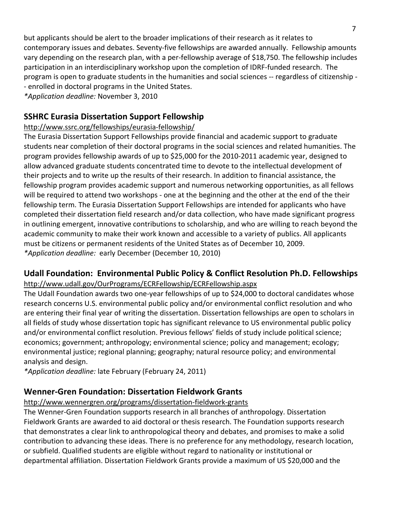but applicants should be alert to the broader implications of their research as it relates to contemporary issues and debates. Seventy-five fellowships are awarded annually. Fellowship amounts vary depending on the research plan, with a per-fellowship average of \$18,750. The fellowship includes participation in an interdisciplinary workshop upon the completion of IDRF-funded research. The program is open to graduate students in the humanities and social sciences -- regardless of citizenship -- enrolled in doctoral programs in the United States.

*\*Application+deadline:* November53,52010

## **SSHRC Eurasia Dissertation Support Fellowship**

### http://www.ssrc.org/fellowships/eurasia-fellowship/

The Eurasia Dissertation Support Fellowships provide financial and academic support to graduate students near completion of their doctoral programs in the social sciences and related humanities. The program provides fellowship awards of up to \$25,000 for the 2010-2011 academic year, designed to allow advanced graduate students concentrated time to devote to the intellectual development of their projects and to write up the results of their research. In addition to financial assistance, the fellowship program provides academic support and numerous networking opportunities, as all fellows will be required to attend two workshops - one at the beginning and the other at the end of the their fellowship term. The Eurasia Dissertation Support Fellowships are intended for applicants who have completed their dissertation field research and/or data collection, who have made significant progress in outlining emergent, innovative contributions to scholarship, and who are willing to reach beyond the academic community to make their work known and accessible to a variety of publics. All applicants must be citizens or permanent residents of the United States as of December 10, 2009. *\*Application deadline:* early December (December 10, 2010)

### Udall Foundation: Environmental Public Policy & Conflict Resolution Ph.D. Fellowships http://www.udall.gov/OurPrograms/ECRFellowship/ECRFellowship.aspx

The Udall Foundation awards two one-year fellowships of up to \$24,000 to doctoral candidates whose research concerns U.S. environmental public policy and/or environmental conflict resolution and who are entering their final year of writing the dissertation. Dissertation fellowships are open to scholars in all fields of study whose dissertation topic has significant relevance to US environmental public policy and/or environmental conflict resolution. Previous fellows' fields of study include political science; economics; government; anthropology; environmental science; policy and management; ecology; environmental justice; regional planning; geography; natural resource policy; and environmental analysis and design.

*\*Application deadline:* late February (February 24, 2011)

# **Wenner-Gren Foundation: Dissertation Fieldwork Grants**

### http://www.wennergren.org/programs/dissertation-fieldwork-grants

The Wenner-Gren Foundation supports research in all branches of anthropology. Dissertation Fieldwork Grants are awarded to aid doctoral or thesis research. The Foundation supports research that demonstrates a clear link to anthropological theory and debates, and promises to make a solid contribution to advancing these ideas. There is no preference for any methodology, research location, or subfield. Qualified students are eligible without regard to nationality or institutional or departmental affiliation. Dissertation Fieldwork Grants provide a maximum of US \$20,000 and the